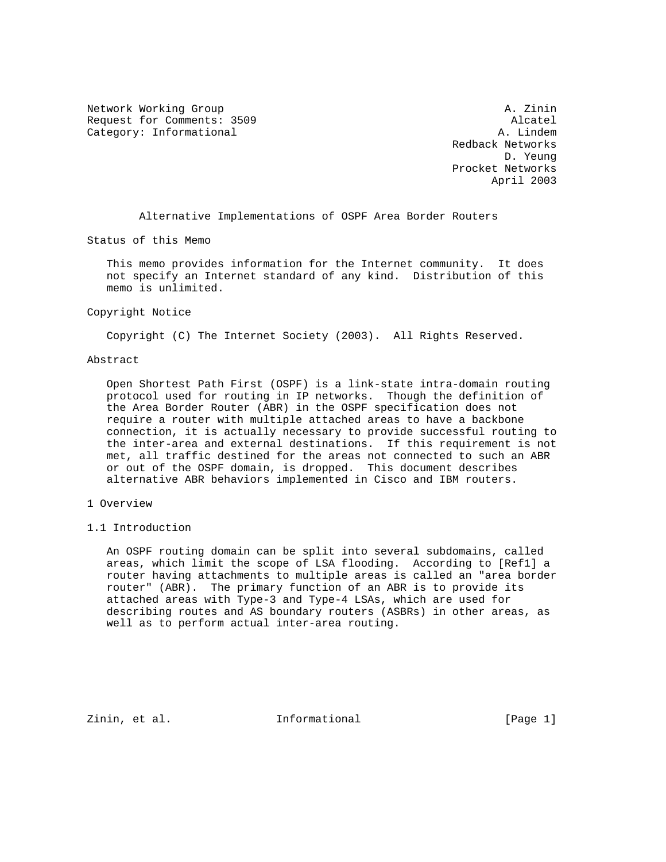Network Working Group and A. Zinin and A. Zinin Request for Comments: 3509 Alcatel Category: Informational and A. Lindem

 Redback Networks D. Yeung Procket Networks April 2003

Alternative Implementations of OSPF Area Border Routers

Status of this Memo

 This memo provides information for the Internet community. It does not specify an Internet standard of any kind. Distribution of this memo is unlimited.

### Copyright Notice

Copyright (C) The Internet Society (2003). All Rights Reserved.

## Abstract

 Open Shortest Path First (OSPF) is a link-state intra-domain routing protocol used for routing in IP networks. Though the definition of the Area Border Router (ABR) in the OSPF specification does not require a router with multiple attached areas to have a backbone connection, it is actually necessary to provide successful routing to the inter-area and external destinations. If this requirement is not met, all traffic destined for the areas not connected to such an ABR or out of the OSPF domain, is dropped. This document describes alternative ABR behaviors implemented in Cisco and IBM routers.

# 1 Overview

1.1 Introduction

 An OSPF routing domain can be split into several subdomains, called areas, which limit the scope of LSA flooding. According to [Ref1] a router having attachments to multiple areas is called an "area border router" (ABR). The primary function of an ABR is to provide its attached areas with Type-3 and Type-4 LSAs, which are used for describing routes and AS boundary routers (ASBRs) in other areas, as well as to perform actual inter-area routing.

Zinin, et al.  $I_n$  Informational [Page 1]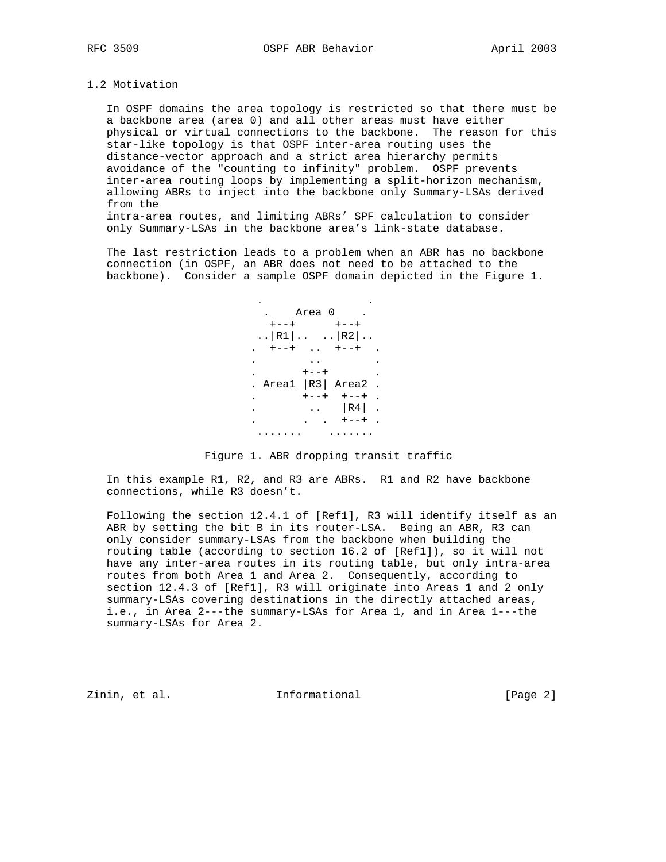## 1.2 Motivation

 In OSPF domains the area topology is restricted so that there must be a backbone area (area 0) and all other areas must have either physical or virtual connections to the backbone. The reason for this star-like topology is that OSPF inter-area routing uses the distance-vector approach and a strict area hierarchy permits avoidance of the "counting to infinity" problem. OSPF prevents inter-area routing loops by implementing a split-horizon mechanism, allowing ABRs to inject into the backbone only Summary-LSAs derived from the intra-area routes, and limiting ABRs' SPF calculation to consider

only Summary-LSAs in the backbone area's link-state database.

 The last restriction leads to a problem when an ABR has no backbone connection (in OSPF, an ABR does not need to be attached to the backbone). Consider a sample OSPF domain depicted in the Figure 1.



Figure 1. ABR dropping transit traffic

 In this example R1, R2, and R3 are ABRs. R1 and R2 have backbone connections, while R3 doesn't.

 Following the section 12.4.1 of [Ref1], R3 will identify itself as an ABR by setting the bit B in its router-LSA. Being an ABR, R3 can only consider summary-LSAs from the backbone when building the routing table (according to section 16.2 of [Ref1]), so it will not have any inter-area routes in its routing table, but only intra-area routes from both Area 1 and Area 2. Consequently, according to section 12.4.3 of [Ref1], R3 will originate into Areas 1 and 2 only summary-LSAs covering destinations in the directly attached areas, i.e., in Area 2---the summary-LSAs for Area 1, and in Area 1---the summary-LSAs for Area 2.

Zinin, et al. 10 1nformational 1999 [Page 2]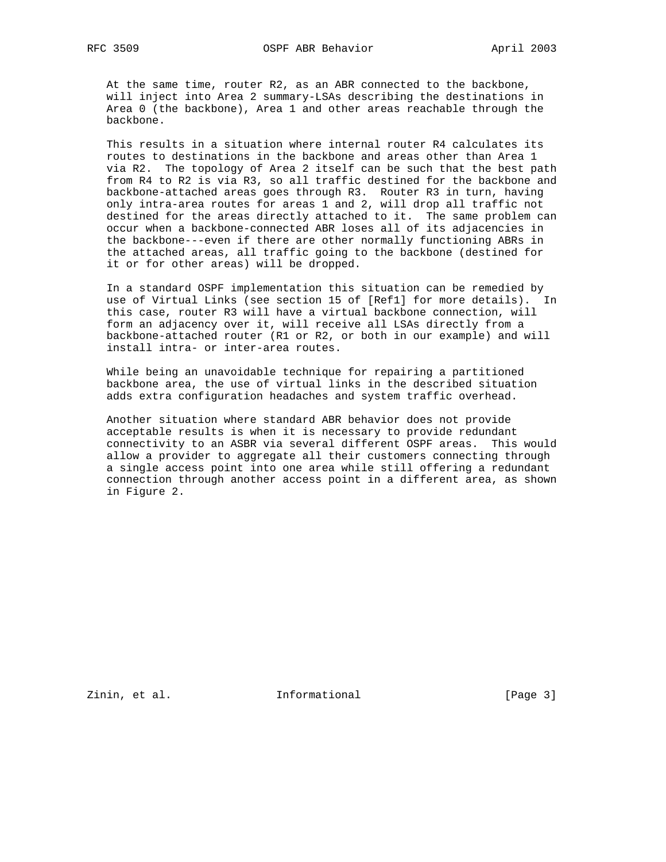At the same time, router R2, as an ABR connected to the backbone, will inject into Area 2 summary-LSAs describing the destinations in Area 0 (the backbone), Area 1 and other areas reachable through the backbone.

 This results in a situation where internal router R4 calculates its routes to destinations in the backbone and areas other than Area 1 via R2. The topology of Area 2 itself can be such that the best path from R4 to R2 is via R3, so all traffic destined for the backbone and backbone-attached areas goes through R3. Router R3 in turn, having only intra-area routes for areas 1 and 2, will drop all traffic not destined for the areas directly attached to it. The same problem can occur when a backbone-connected ABR loses all of its adjacencies in the backbone---even if there are other normally functioning ABRs in the attached areas, all traffic going to the backbone (destined for it or for other areas) will be dropped.

 In a standard OSPF implementation this situation can be remedied by use of Virtual Links (see section 15 of [Ref1] for more details). In this case, router R3 will have a virtual backbone connection, will form an adjacency over it, will receive all LSAs directly from a backbone-attached router (R1 or R2, or both in our example) and will install intra- or inter-area routes.

 While being an unavoidable technique for repairing a partitioned backbone area, the use of virtual links in the described situation adds extra configuration headaches and system traffic overhead.

 Another situation where standard ABR behavior does not provide acceptable results is when it is necessary to provide redundant connectivity to an ASBR via several different OSPF areas. This would allow a provider to aggregate all their customers connecting through a single access point into one area while still offering a redundant connection through another access point in a different area, as shown in Figure 2.

Zinin, et al. 10 mm informational 10 mm informational [Page 3]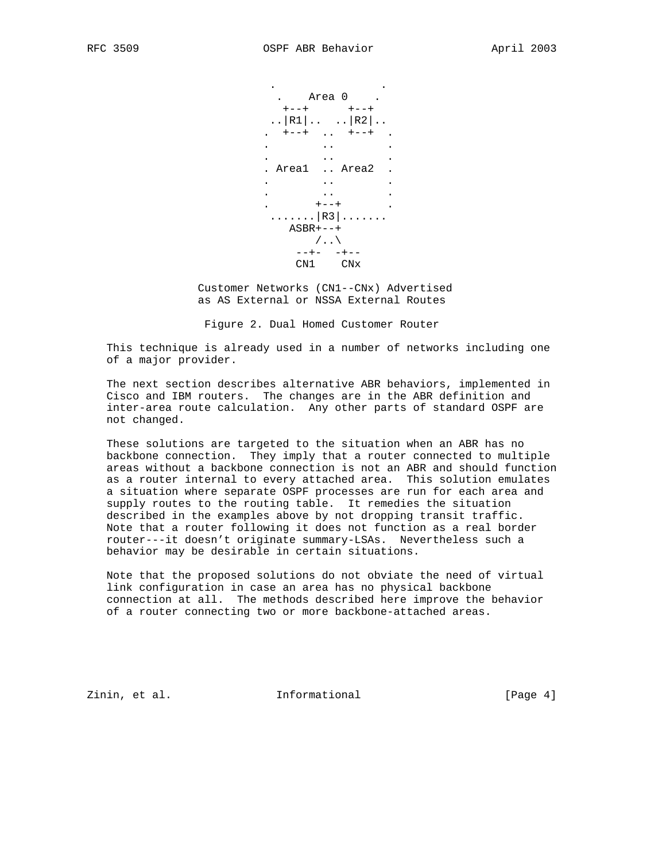

 Customer Networks (CN1--CNx) Advertised as AS External or NSSA External Routes

Figure 2. Dual Homed Customer Router

 This technique is already used in a number of networks including one of a major provider.

 The next section describes alternative ABR behaviors, implemented in Cisco and IBM routers. The changes are in the ABR definition and inter-area route calculation. Any other parts of standard OSPF are not changed.

 These solutions are targeted to the situation when an ABR has no backbone connection. They imply that a router connected to multiple areas without a backbone connection is not an ABR and should function as a router internal to every attached area. This solution emulates a situation where separate OSPF processes are run for each area and supply routes to the routing table. It remedies the situation described in the examples above by not dropping transit traffic. Note that a router following it does not function as a real border router---it doesn't originate summary-LSAs. Nevertheless such a behavior may be desirable in certain situations.

 Note that the proposed solutions do not obviate the need of virtual link configuration in case an area has no physical backbone connection at all. The methods described here improve the behavior of a router connecting two or more backbone-attached areas.

Zinin, et al. 10 1nformational 1999 [Page 4]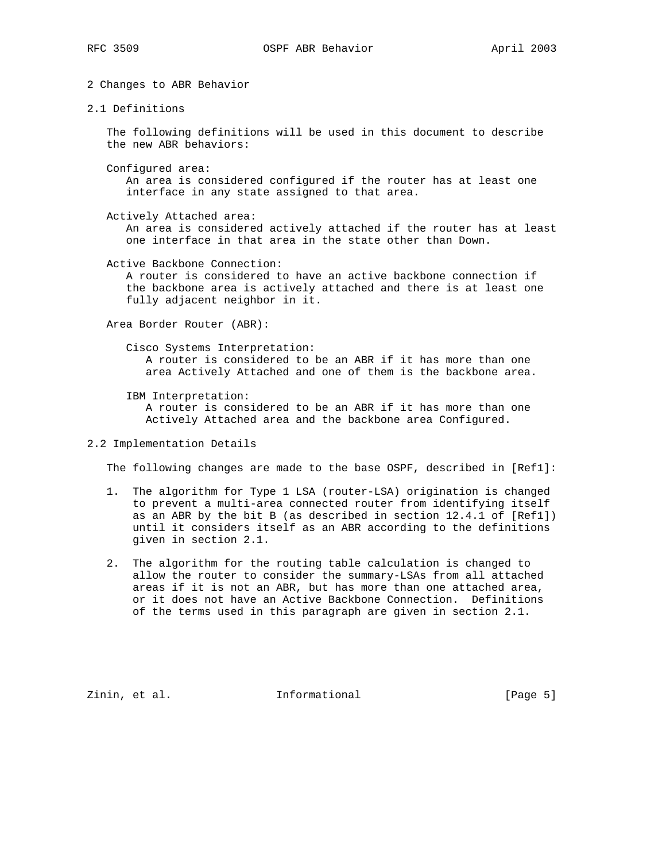2 Changes to ABR Behavior

2.1 Definitions

 The following definitions will be used in this document to describe the new ABR behaviors:

Configured area:

 An area is considered configured if the router has at least one interface in any state assigned to that area.

Actively Attached area:

 An area is considered actively attached if the router has at least one interface in that area in the state other than Down.

Active Backbone Connection:

 A router is considered to have an active backbone connection if the backbone area is actively attached and there is at least one fully adjacent neighbor in it.

Area Border Router (ABR):

 Cisco Systems Interpretation: A router is considered to be an ABR if it has more than one area Actively Attached and one of them is the backbone area.

- IBM Interpretation: A router is considered to be an ABR if it has more than one Actively Attached area and the backbone area Configured.
- 2.2 Implementation Details

The following changes are made to the base OSPF, described in [Ref1]:

- 1. The algorithm for Type 1 LSA (router-LSA) origination is changed to prevent a multi-area connected router from identifying itself as an ABR by the bit B (as described in section 12.4.1 of [Ref1]) until it considers itself as an ABR according to the definitions given in section 2.1.
- 2. The algorithm for the routing table calculation is changed to allow the router to consider the summary-LSAs from all attached areas if it is not an ABR, but has more than one attached area, or it does not have an Active Backbone Connection. Definitions of the terms used in this paragraph are given in section 2.1.

Zinin, et al. 10 mm informational 10 mm informational [Page 5]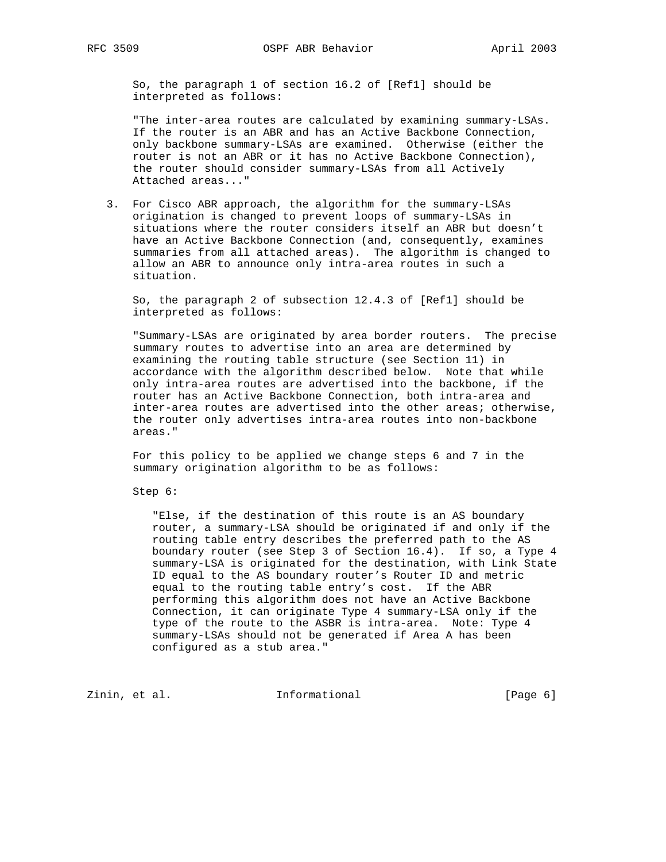So, the paragraph 1 of section 16.2 of [Ref1] should be interpreted as follows:

 "The inter-area routes are calculated by examining summary-LSAs. If the router is an ABR and has an Active Backbone Connection, only backbone summary-LSAs are examined. Otherwise (either the router is not an ABR or it has no Active Backbone Connection), the router should consider summary-LSAs from all Actively Attached areas..."

 3. For Cisco ABR approach, the algorithm for the summary-LSAs origination is changed to prevent loops of summary-LSAs in situations where the router considers itself an ABR but doesn't have an Active Backbone Connection (and, consequently, examines summaries from all attached areas). The algorithm is changed to allow an ABR to announce only intra-area routes in such a situation.

 So, the paragraph 2 of subsection 12.4.3 of [Ref1] should be interpreted as follows:

 "Summary-LSAs are originated by area border routers. The precise summary routes to advertise into an area are determined by examining the routing table structure (see Section 11) in accordance with the algorithm described below. Note that while only intra-area routes are advertised into the backbone, if the router has an Active Backbone Connection, both intra-area and inter-area routes are advertised into the other areas; otherwise, the router only advertises intra-area routes into non-backbone areas."

 For this policy to be applied we change steps 6 and 7 in the summary origination algorithm to be as follows:

Step 6:

 "Else, if the destination of this route is an AS boundary router, a summary-LSA should be originated if and only if the routing table entry describes the preferred path to the AS boundary router (see Step 3 of Section 16.4). If so, a Type 4 summary-LSA is originated for the destination, with Link State ID equal to the AS boundary router's Router ID and metric equal to the routing table entry's cost. If the ABR performing this algorithm does not have an Active Backbone Connection, it can originate Type 4 summary-LSA only if the type of the route to the ASBR is intra-area. Note: Type 4 summary-LSAs should not be generated if Area A has been configured as a stub area."

Zinin, et al. 10 mm informational 10 mm informational [Page 6]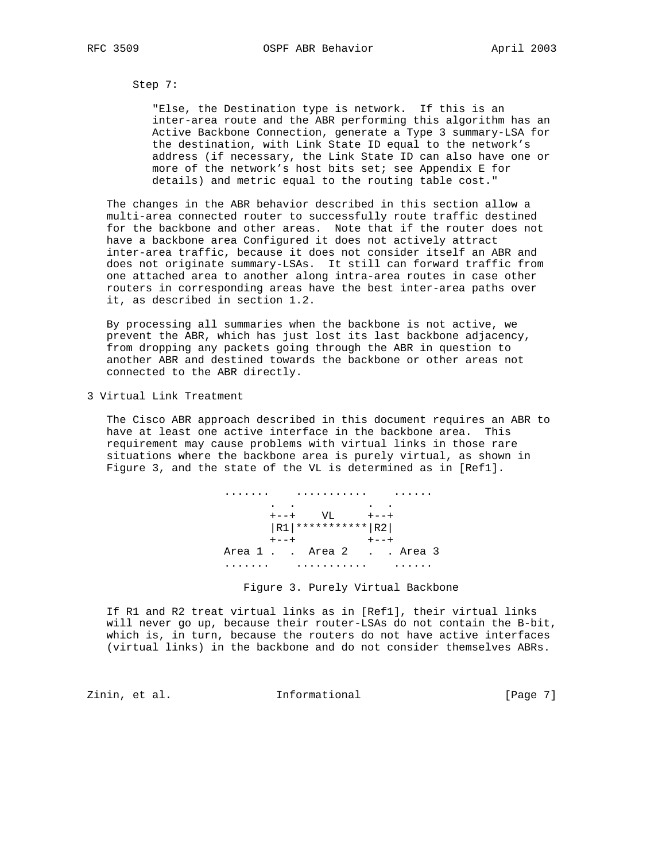Step 7:

 "Else, the Destination type is network. If this is an inter-area route and the ABR performing this algorithm has an Active Backbone Connection, generate a Type 3 summary-LSA for the destination, with Link State ID equal to the network's address (if necessary, the Link State ID can also have one or more of the network's host bits set; see Appendix E for details) and metric equal to the routing table cost."

 The changes in the ABR behavior described in this section allow a multi-area connected router to successfully route traffic destined for the backbone and other areas. Note that if the router does not have a backbone area Configured it does not actively attract inter-area traffic, because it does not consider itself an ABR and does not originate summary-LSAs. It still can forward traffic from one attached area to another along intra-area routes in case other routers in corresponding areas have the best inter-area paths over it, as described in section 1.2.

 By processing all summaries when the backbone is not active, we prevent the ABR, which has just lost its last backbone adjacency, from dropping any packets going through the ABR in question to another ABR and destined towards the backbone or other areas not connected to the ABR directly.

3 Virtual Link Treatment

 The Cisco ABR approach described in this document requires an ABR to have at least one active interface in the backbone area. This requirement may cause problems with virtual links in those rare situations where the backbone area is purely virtual, as shown in Figure 3, and the state of the VL is determined as in [Ref1].



Figure 3. Purely Virtual Backbone

 If R1 and R2 treat virtual links as in [Ref1], their virtual links will never go up, because their router-LSAs do not contain the B-bit, which is, in turn, because the routers do not have active interfaces (virtual links) in the backbone and do not consider themselves ABRs.

Zinin, et al. 10 mm informational 10 mm informational [Page 7]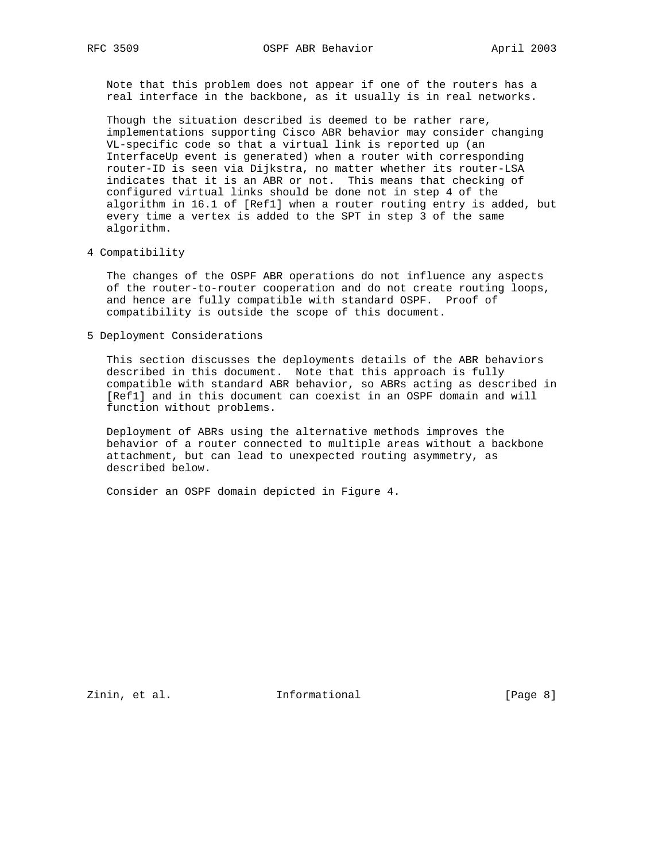Note that this problem does not appear if one of the routers has a real interface in the backbone, as it usually is in real networks.

 Though the situation described is deemed to be rather rare, implementations supporting Cisco ABR behavior may consider changing VL-specific code so that a virtual link is reported up (an InterfaceUp event is generated) when a router with corresponding router-ID is seen via Dijkstra, no matter whether its router-LSA indicates that it is an ABR or not. This means that checking of configured virtual links should be done not in step 4 of the algorithm in 16.1 of [Ref1] when a router routing entry is added, but every time a vertex is added to the SPT in step 3 of the same algorithm.

#### 4 Compatibility

 The changes of the OSPF ABR operations do not influence any aspects of the router-to-router cooperation and do not create routing loops, and hence are fully compatible with standard OSPF. Proof of compatibility is outside the scope of this document.

5 Deployment Considerations

 This section discusses the deployments details of the ABR behaviors described in this document. Note that this approach is fully compatible with standard ABR behavior, so ABRs acting as described in [Ref1] and in this document can coexist in an OSPF domain and will function without problems.

 Deployment of ABRs using the alternative methods improves the behavior of a router connected to multiple areas without a backbone attachment, but can lead to unexpected routing asymmetry, as described below.

Consider an OSPF domain depicted in Figure 4.

Zinin, et al. 10 1nformational 1999 [Page 8]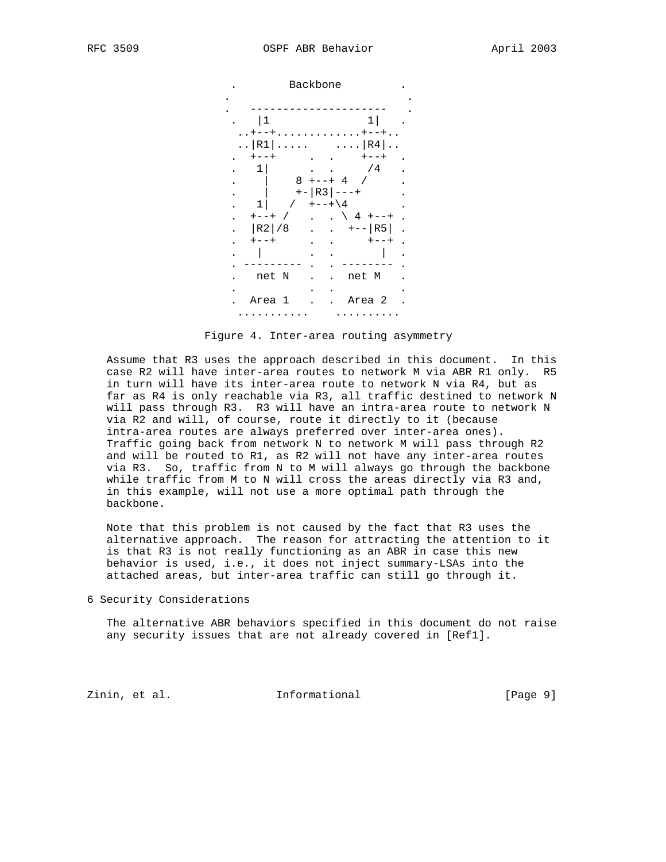

Figure 4. Inter-area routing asymmetry

 Assume that R3 uses the approach described in this document. In this case R2 will have inter-area routes to network M via ABR R1 only. R5 in turn will have its inter-area route to network N via R4, but as far as R4 is only reachable via R3, all traffic destined to network N will pass through R3. R3 will have an intra-area route to network N via R2 and will, of course, route it directly to it (because intra-area routes are always preferred over inter-area ones). Traffic going back from network N to network M will pass through R2 and will be routed to R1, as R2 will not have any inter-area routes via R3. So, traffic from N to M will always go through the backbone while traffic from M to N will cross the areas directly via R3 and, in this example, will not use a more optimal path through the backbone.

 Note that this problem is not caused by the fact that R3 uses the alternative approach. The reason for attracting the attention to it is that R3 is not really functioning as an ABR in case this new behavior is used, i.e., it does not inject summary-LSAs into the attached areas, but inter-area traffic can still go through it.

6 Security Considerations

 The alternative ABR behaviors specified in this document do not raise any security issues that are not already covered in [Ref1].

Zinin, et al. 10 mm informational 1999 [Page 9]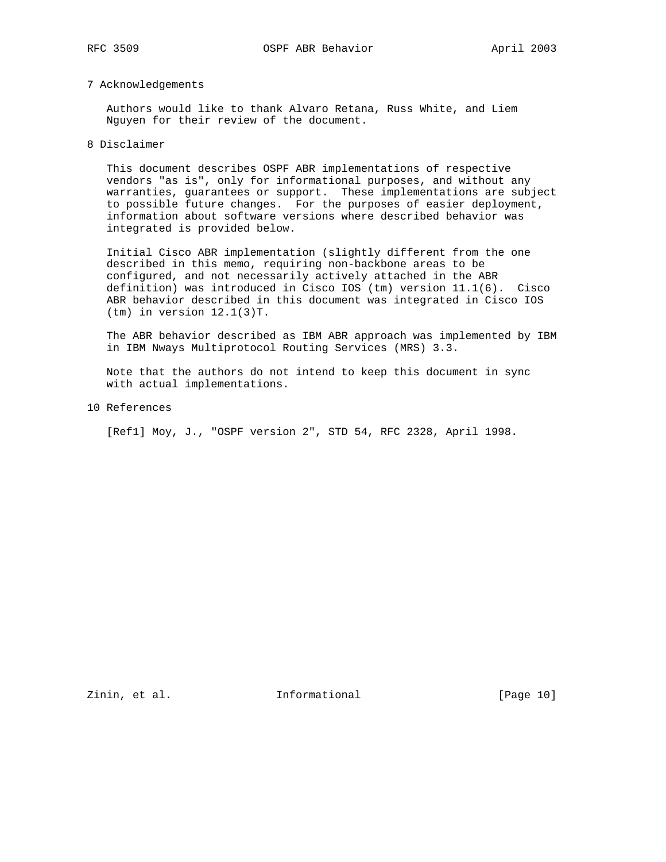## 7 Acknowledgements

 Authors would like to thank Alvaro Retana, Russ White, and Liem Nguyen for their review of the document.

8 Disclaimer

 This document describes OSPF ABR implementations of respective vendors "as is", only for informational purposes, and without any warranties, guarantees or support. These implementations are subject to possible future changes. For the purposes of easier deployment, information about software versions where described behavior was integrated is provided below.

 Initial Cisco ABR implementation (slightly different from the one described in this memo, requiring non-backbone areas to be configured, and not necessarily actively attached in the ABR definition) was introduced in Cisco IOS (tm) version 11.1(6). Cisco ABR behavior described in this document was integrated in Cisco IOS (tm) in version 12.1(3)T.

 The ABR behavior described as IBM ABR approach was implemented by IBM in IBM Nways Multiprotocol Routing Services (MRS) 3.3.

 Note that the authors do not intend to keep this document in sync with actual implementations.

10 References

[Ref1] Moy, J., "OSPF version 2", STD 54, RFC 2328, April 1998.

Zinin, et al. 10 mm informational 10 mm informational [Page 10]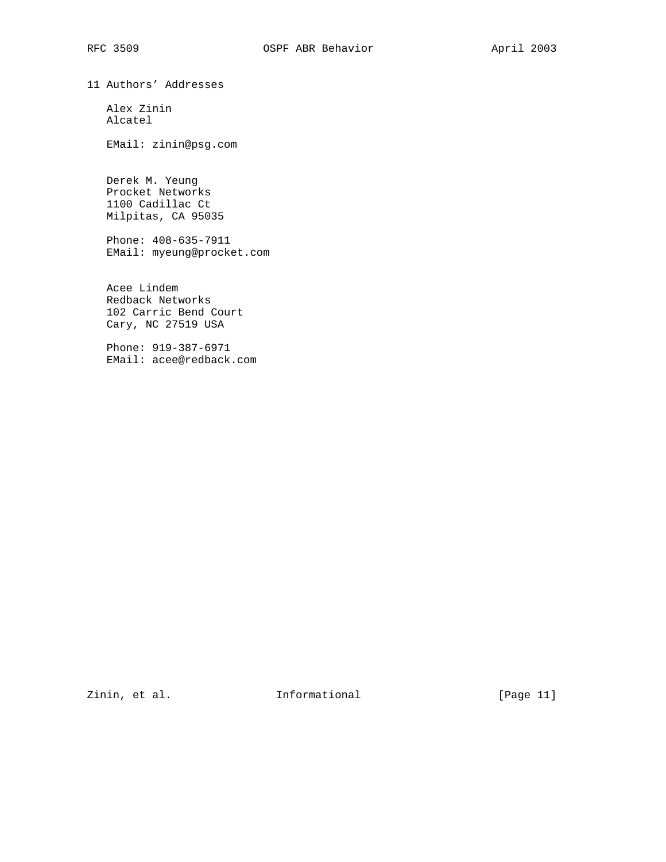11 Authors' Addresses

 Alex Zinin Alcatel

EMail: zinin@psg.com

 Derek M. Yeung Procket Networks 1100 Cadillac Ct Milpitas, CA 95035

 Phone: 408-635-7911 EMail: myeung@procket.com

 Acee Lindem Redback Networks 102 Carric Bend Court Cary, NC 27519 USA

 Phone: 919-387-6971 EMail: acee@redback.com

Zinin, et al. 10. Informational 1. [Page 11]